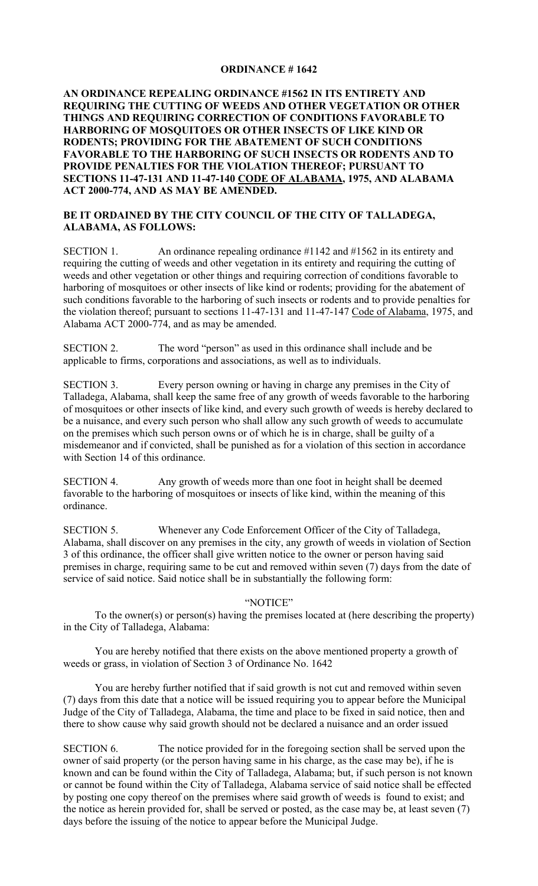### **ORDINANCE # 1642**

# **AN ORDINANCE REPEALING ORDINANCE #1562 IN ITS ENTIRETY AND REQUIRING THE CUTTING OF WEEDS AND OTHER VEGETATION OR OTHER THINGS AND REQUIRING CORRECTION OF CONDITIONS FAVORABLE TO HARBORING OF MOSQUITOES OR OTHER INSECTS OF LIKE KIND OR RODENTS; PROVIDING FOR THE ABATEMENT OF SUCH CONDITIONS FAVORABLE TO THE HARBORING OF SUCH INSECTS OR RODENTS AND TO PROVIDE PENALTIES FOR THE VIOLATION THEREOF; PURSUANT TO SECTIONS 11-47-131 AND 11-47-140 CODE OF ALABAMA, 1975, AND ALABAMA ACT 2000-774, AND AS MAY BE AMENDED.**

# **BE IT ORDAINED BY THE CITY COUNCIL OF THE CITY OF TALLADEGA, ALABAMA, AS FOLLOWS:**

SECTION 1. An ordinance repealing ordinance #1142 and #1562 in its entirety and requiring the cutting of weeds and other vegetation in its entirety and requiring the cutting of weeds and other vegetation or other things and requiring correction of conditions favorable to harboring of mosquitoes or other insects of like kind or rodents; providing for the abatement of such conditions favorable to the harboring of such insects or rodents and to provide penalties for the violation thereof; pursuant to sections 11-47-131 and 11-47-147 Code of Alabama, 1975, and Alabama ACT 2000-774, and as may be amended.

SECTION 2. The word "person" as used in this ordinance shall include and be applicable to firms, corporations and associations, as well as to individuals.

SECTION 3. Every person owning or having in charge any premises in the City of Talladega, Alabama, shall keep the same free of any growth of weeds favorable to the harboring of mosquitoes or other insects of like kind, and every such growth of weeds is hereby declared to be a nuisance, and every such person who shall allow any such growth of weeds to accumulate on the premises which such person owns or of which he is in charge, shall be guilty of a misdemeanor and if convicted, shall be punished as for a violation of this section in accordance with Section 14 of this ordinance.

SECTION 4. Any growth of weeds more than one foot in height shall be deemed favorable to the harboring of mosquitoes or insects of like kind, within the meaning of this ordinance.

SECTION 5. Whenever any Code Enforcement Officer of the City of Talladega, Alabama, shall discover on any premises in the city, any growth of weeds in violation of Section 3 of this ordinance, the officer shall give written notice to the owner or person having said premises in charge, requiring same to be cut and removed within seven (7) days from the date of service of said notice. Said notice shall be in substantially the following form:

#### "NOTICE"

To the owner(s) or person(s) having the premises located at (here describing the property) in the City of Talladega, Alabama:

You are hereby notified that there exists on the above mentioned property a growth of weeds or grass, in violation of Section 3 of Ordinance No. 1642

You are hereby further notified that if said growth is not cut and removed within seven (7) days from this date that a notice will be issued requiring you to appear before the Municipal Judge of the City of Talladega, Alabama, the time and place to be fixed in said notice, then and there to show cause why said growth should not be declared a nuisance and an order issued

SECTION 6. The notice provided for in the foregoing section shall be served upon the owner of said property (or the person having same in his charge, as the case may be), if he is known and can be found within the City of Talladega, Alabama; but, if such person is not known or cannot be found within the City of Talladega, Alabama service of said notice shall be effected by posting one copy thereof on the premises where said growth of weeds is found to exist; and the notice as herein provided for, shall be served or posted, as the case may be, at least seven (7) days before the issuing of the notice to appear before the Municipal Judge.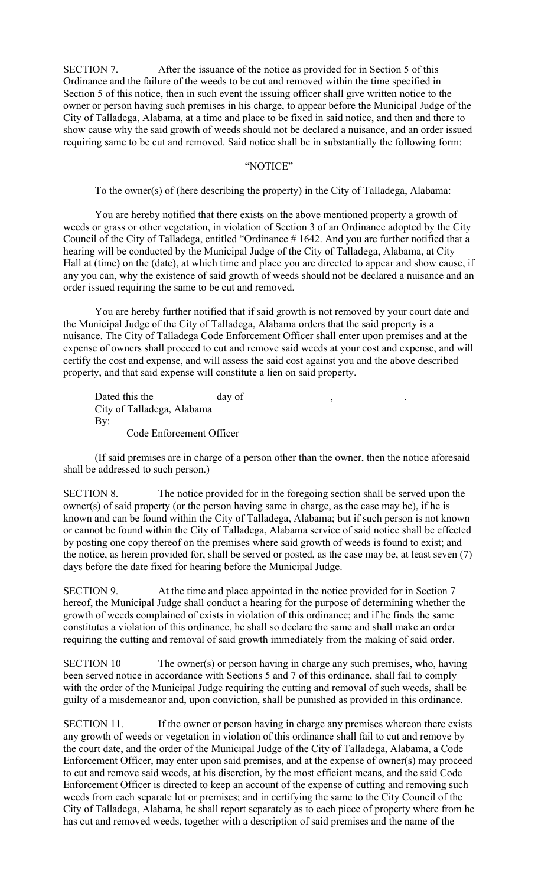SECTION 7. After the issuance of the notice as provided for in Section 5 of this Ordinance and the failure of the weeds to be cut and removed within the time specified in Section 5 of this notice, then in such event the issuing officer shall give written notice to the owner or person having such premises in his charge, to appear before the Municipal Judge of the City of Talladega, Alabama, at a time and place to be fixed in said notice, and then and there to show cause why the said growth of weeds should not be declared a nuisance, and an order issued requiring same to be cut and removed. Said notice shall be in substantially the following form:

#### "NOTICE"

To the owner(s) of (here describing the property) in the City of Talladega, Alabama:

You are hereby notified that there exists on the above mentioned property a growth of weeds or grass or other vegetation, in violation of Section 3 of an Ordinance adopted by the City Council of the City of Talladega, entitled "Ordinance # 1642. And you are further notified that a hearing will be conducted by the Municipal Judge of the City of Talladega, Alabama, at City Hall at (time) on the (date), at which time and place you are directed to appear and show cause, if any you can, why the existence of said growth of weeds should not be declared a nuisance and an order issued requiring the same to be cut and removed.

You are hereby further notified that if said growth is not removed by your court date and the Municipal Judge of the City of Talladega, Alabama orders that the said property is a nuisance. The City of Talladega Code Enforcement Officer shall enter upon premises and at the expense of owners shall proceed to cut and remove said weeds at your cost and expense, and will certify the cost and expense, and will assess the said cost against you and the above described property, and that said expense will constitute a lien on said property.

| Dated this the             | day of |  |
|----------------------------|--------|--|
| City of Talladega, Alabama |        |  |
| Bv:                        |        |  |
| Code Enforcement Officer   |        |  |

(If said premises are in charge of a person other than the owner, then the notice aforesaid shall be addressed to such person.)

SECTION 8. The notice provided for in the foregoing section shall be served upon the owner(s) of said property (or the person having same in charge, as the case may be), if he is known and can be found within the City of Talladega, Alabama; but if such person is not known or cannot be found within the City of Talladega, Alabama service of said notice shall be effected by posting one copy thereof on the premises where said growth of weeds is found to exist; and the notice, as herein provided for, shall be served or posted, as the case may be, at least seven (7) days before the date fixed for hearing before the Municipal Judge.

SECTION 9. At the time and place appointed in the notice provided for in Section 7 hereof, the Municipal Judge shall conduct a hearing for the purpose of determining whether the growth of weeds complained of exists in violation of this ordinance; and if he finds the same constitutes a violation of this ordinance, he shall so declare the same and shall make an order requiring the cutting and removal of said growth immediately from the making of said order.

SECTION 10 The owner(s) or person having in charge any such premises, who, having been served notice in accordance with Sections 5 and 7 of this ordinance, shall fail to comply with the order of the Municipal Judge requiring the cutting and removal of such weeds, shall be guilty of a misdemeanor and, upon conviction, shall be punished as provided in this ordinance.

SECTION 11. If the owner or person having in charge any premises whereon there exists any growth of weeds or vegetation in violation of this ordinance shall fail to cut and remove by the court date, and the order of the Municipal Judge of the City of Talladega, Alabama, a Code Enforcement Officer, may enter upon said premises, and at the expense of owner(s) may proceed to cut and remove said weeds, at his discretion, by the most efficient means, and the said Code Enforcement Officer is directed to keep an account of the expense of cutting and removing such weeds from each separate lot or premises; and in certifying the same to the City Council of the City of Talladega, Alabama, he shall report separately as to each piece of property where from he has cut and removed weeds, together with a description of said premises and the name of the